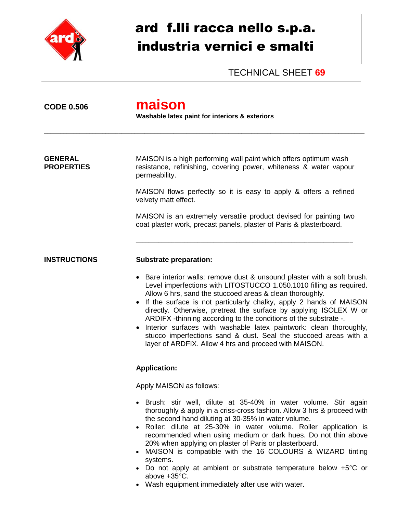

## ard f.lli racca nello s.p.a. industria vernici e smalti

TECHNICAL SHEET **69**

**CODE 0.506 maison Washable latex paint for interiors & exteriors** \_\_\_\_\_\_\_\_\_\_\_\_\_\_\_\_\_\_\_\_\_\_\_\_\_\_\_\_\_\_\_\_\_\_\_\_\_\_\_\_\_\_\_\_\_\_\_\_\_\_\_\_\_\_\_\_\_\_\_\_\_\_\_\_\_\_\_\_\_\_\_\_\_\_\_\_\_\_\_\_\_\_\_\_\_\_\_\_\_\_\_\_\_\_\_\_\_\_\_ **GENERAL** MAISON is a high performing wall paint which offers optimum wash **PROPERTIES** resistance, refinishing, covering power, whiteness & water vapour permeability. MAISON flows perfectly so it is easy to apply & offers a refined velvety matt effect. MAISON is an extremely versatile product devised for painting two coat plaster work, precast panels, plaster of Paris & plasterboard. \_\_\_\_\_\_\_\_\_\_\_\_\_\_\_\_\_\_\_\_\_\_\_\_\_\_\_\_\_\_\_\_\_\_\_\_\_\_\_\_\_\_\_\_\_\_\_\_\_\_\_\_\_\_\_\_\_\_\_\_\_\_\_\_\_\_\_ **INSTRUCTIONS Substrate preparation:** Bare interior walls: remove dust & unsound plaster with a soft brush. Level imperfections with LITOSTUCCO 1.050.1010 filling as required. Allow 6 hrs, sand the stuccoed areas & clean thoroughly. • If the surface is not particularly chalky, apply 2 hands of MAISON directly. Otherwise, pretreat the surface by applying ISOLEX W or ARDIFX -thinning according to the conditions of the substrate -. • Interior surfaces with washable latex paintwork: clean thoroughly, stucco imperfections sand & dust. Seal the stuccoed areas with a layer of ARDFIX. Allow 4 hrs and proceed with MAISON. **Application:** Apply MAISON as follows: Brush: stir well, dilute at 35-40% in water volume. Stir again thoroughly & apply in a criss-cross fashion. Allow 3 hrs & proceed with the second hand diluting at 30-35% in water volume. Roller: dilute at 25-30% in water volume. Roller application is recommended when using medium or dark hues. Do not thin above 20% when applying on plaster of Paris or plasterboard. MAISON is compatible with the 16 COLOURS & WIZARD tinting systems. Do not apply at ambient or substrate temperature below +5°C or above +35°C.

Wash equipment immediately after use with water.